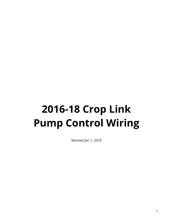# **2016-18 Crop Link Pump Control Wiring**

Revised Jan 1, 2018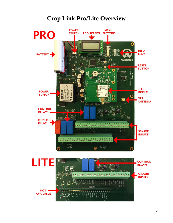## **Crop Link Pro/Lite Overview**



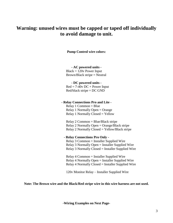## **Warning: unused wires must be capped or taped off individually to avoid damage to unit.**

**Pump Control wire colors:** 

#### **- AC powered units -**

 $Black = 120v$  Power Input Brown/Black stripe = Neutral

#### **- DC powered units -**

 $Red = 7-40v DC + Power Input$ Red/black stripe = DC GND

#### **- Relay Connections Pro and Lite -**

Relay 1 Common = Blue Relay 1 Normally Open = Orange Relay 1 Normally Closed = Yellow

Relay 2 Common = Blue/Black stripe Relay 2 Normally Open = Orange/Black stripe Relay 2 Normally Closed = Yellow/Black stripe

#### **- Relay Connections Pro Only -**

Relay 3 Common = Installer Supplied Wire Relay 3 Normally Open = Installer Supplied Wire Relay 3 Normally Closed = Installer Supplied Wire

Relay 4 Common = Installer Supplied Wire Relay 4 Normally Open = Installer Supplied Wire Relay 4 Normally Closed = Installer Supplied Wire

120v Monitor Relay – Installer Supplied Wire

#### **Note: The Brown wire and the Black/Red stripe wire in this wire harness are not used.**

**-Wiring Examples on Next Page-**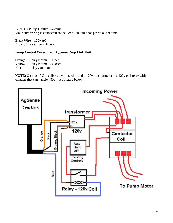#### **120v AC Pump Control system:**

Make sure wiring is connected so the Crop Link unit has power all the time.

Black Wire – 120v AC Brown/Black stripe - Neutral

#### **Pump Control Wires From AgSense Crop Link Unit:**

Orange – Relay Normally Open

Yellow – Relay Normally Closed

Blue – Relay Common

**NOTE:** On most AC installs you will need to add a 120v transformer and a 120v coil relay with contacts that can handle 480v – see picture below

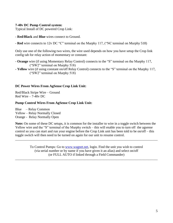#### **7-40v DC Pump Control system:**

Typical Install of DC powered Crop Link:

- **Red/Black** and **Blue** wires connect to Ground.
- **Red** wire connects to 12v DC "C" terminal on the Murphy 117, ("NC terminal on Murphy 518)

Only use one of the following two wires, the wire used depends on how you have setup the Crop link config tab for relay action of momentary or constant:

- **Orange** wire (if using Momentary Relay Control) connects to the "S" terminal on the Murphy 117, ("SW2" terminal on Murphy 518)
- **- Yellow** wire (if using constant on/off Relay Control) connects to the "S" terminal on the Murphy 117, ("SW2" terminal on Murphy 518)

#### **DC Power Wires From AgSense Crop Link Unit:**

Red/Black Stripe Wire – Ground Red Wire – 7-40v DC

#### **Pump Control Wires From AgSense Crop Link Unit:**

Blue – Relay Common Yellow – Relay Normally Closed Orange - Relay Normally Open

**Note:** On some of these DC setups, it is common for the installer to wire in a toggle switch between the Yellow wire and the "S" terminal of the Murphy switch – this will enable you to turn off the agsense control so you can start and run your engine before the Crop Link unit has been told to be on/off – this toggle switch will then need to be turned on again for our unit to resume control.

> To Control Pumps: Go to [www.wagnet.net,](http://www.wagnet.net/) login. Find the unit you wish to control (via serial number or by name if you have given it an alias) and select on/off (or FULL AUTO if linked through a Field Commander)

\_\_\_\_\_\_\_\_\_\_\_\_\_\_\_\_\_\_\_\_\_\_\_\_\_\_\_\_\_\_\_\_\_\_\_\_\_\_\_\_\_\_\_\_\_\_\_\_\_\_\_\_\_\_\_\_\_\_\_\_\_\_\_\_\_\_\_\_\_\_\_\_\_\_\_\_\_\_\_\_\_\_\_\_

\_\_\_\_\_\_\_\_\_\_\_\_\_\_\_\_\_\_\_\_\_\_\_\_\_\_\_\_\_\_\_\_\_\_\_\_\_\_\_\_\_\_\_\_\_\_\_\_\_\_\_\_\_\_\_\_\_\_\_\_\_\_\_\_\_\_\_\_\_\_\_\_\_\_\_\_\_\_\_\_\_\_\_\_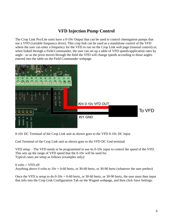## **VFD Injection Pump Control**

The Crop Link Pro/Lite units have a 0-10v Output that can be used to control chemigation pumps that use a VFD (variable frequency drive). This crop link can be used as a standalone control of the VFD where the user can enter a frequency for the VFD to run on the Crop Link web page (manual control) or, when linked through a Field Commander, the user can set up a table of VFD speeds/application rates by angle - so as the pivot moves through the field the VFD will change speeds according to those angles entered into the table on the Field Commander webpage.



0-10v DC Terminal of the Crop Link unit as shown goes to the VFD 0-10v DC input

Gnd Terminal of the Crop Link unit as shown goes to the VFD DC Gnd terminal

VFD setup – The VFD needs to be programmed to use its 0-10v input to control the speed of the VFD. This sets up the range of VFD speed that the 0-10v will be used for. Typical cases are setup as follows (examples only):

 $0$  volts = VFD off Anything above 0 volts to  $10v = 0.60$  hertz, or 30-60 hertz, or 30-90 hertz (whatever the user prefers)

Once the VFD is setup to do  $0-10v = 0-60$  hertz, or 30-60 hertz, or 30-90 hertz, the user must then input that info into the Crop Link Configuration Tab on the Wagnet webpage, and then click Save Settings.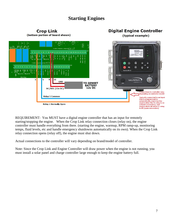## **Starting Engines**



REQUIREMENT: You MUST have a digital engine controller that has an input for remotely starting/stopping the engine. When the Crop Link relay connection closes (relay on), the engine controller must handle everything from there. (starting the engine, warmup, RPM ramp-up, monitoring temps, fluid levels, etc and handle emergency shutdowns automatically on its own). When the Crop Link relay connection opens (relay off), the engine must shut down.

Actual connections to the controller will vary depending on brand/model of controller.

Note: Since the Crop Link and Engine Controller will draw power when the engine is not running, you must install a solar panel and charge controller large enough to keep the engine battery full.